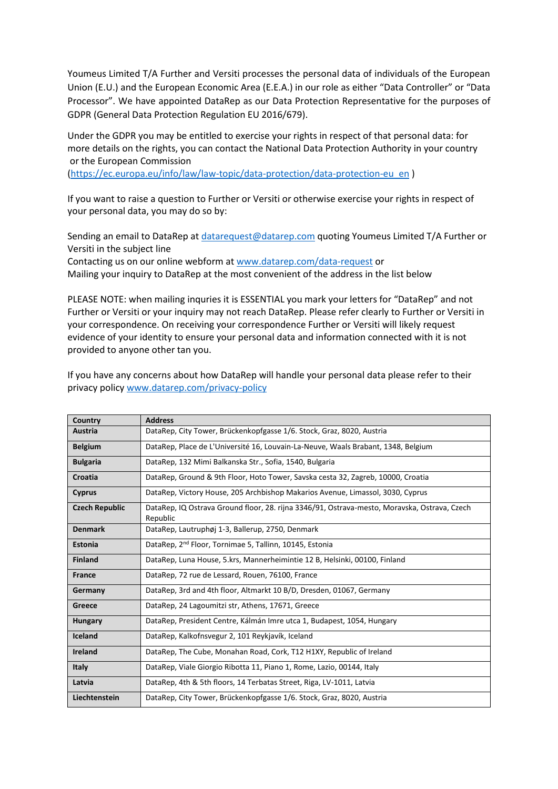Youmeus Limited T/A Further and Versiti processes the personal data of individuals of the European Union (E.U.) and the European Economic Area (E.E.A.) in our role as either "Data Controller" or "Data Processor". We have appointed DataRep as our Data Protection Representative for the purposes of GDPR (General Data Protection Regulation EU 2016/679).

Under the GDPR you may be entitled to exercise your rights in respect of that personal data: for more details on the rights, you can contact the National Data Protection Authority in your country or the European Commission

[\(https://ec.europa.eu/info/law/law-topic/data-protection/data-protection-eu\\_en](https://ec.europa.eu/info/law/law-topic/data-protection/data-protection-eu_en) )

If you want to raise a question to Further or Versiti or otherwise exercise your rights in respect of your personal data, you may do so by:

Sending an email to DataRep at [datarequest@datarep.com](mailto:datarequest@datarep.com) quoting Youmeus Limited T/A Further or Versiti in the subject line

Contacting us on our online webform at [www.datarep.com/data-request](http://www.datarep.com/data-request) or Mailing your inquiry to DataRep at the most convenient of the address in the list below

PLEASE NOTE: when mailing inquries it is ESSENTIAL you mark your letters for "DataRep" and not Further or Versiti or your inquiry may not reach DataRep. Please refer clearly to Further or Versiti in your correspondence. On receiving your correspondence Further or Versiti will likely request evidence of your identity to ensure your personal data and information connected with it is not provided to anyone other tan you.

If you have any concerns about how DataRep will handle your personal data please refer to their privacy policy [www.datarep.com/privacy-policy](http://www.datarep.com/privacy-policy)

| Country               | <b>Address</b>                                                                                           |
|-----------------------|----------------------------------------------------------------------------------------------------------|
| Austria               | DataRep, City Tower, Brückenkopfgasse 1/6. Stock, Graz, 8020, Austria                                    |
| <b>Belgium</b>        | DataRep, Place de L'Université 16, Louvain-La-Neuve, Waals Brabant, 1348, Belgium                        |
| <b>Bulgaria</b>       | DataRep, 132 Mimi Balkanska Str., Sofia, 1540, Bulgaria                                                  |
| Croatia               | DataRep, Ground & 9th Floor, Hoto Tower, Savska cesta 32, Zagreb, 10000, Croatia                         |
| Cyprus                | DataRep, Victory House, 205 Archbishop Makarios Avenue, Limassol, 3030, Cyprus                           |
| <b>Czech Republic</b> | DataRep, IQ Ostrava Ground floor, 28. rijna 3346/91, Ostrava-mesto, Moravska, Ostrava, Czech<br>Republic |
| <b>Denmark</b>        | DataRep, Lautruphøj 1-3, Ballerup, 2750, Denmark                                                         |
| Estonia               | DataRep, 2 <sup>nd</sup> Floor, Tornimae 5, Tallinn, 10145, Estonia                                      |
| <b>Finland</b>        | DataRep, Luna House, 5.krs, Mannerheimintie 12 B, Helsinki, 00100, Finland                               |
| <b>France</b>         | DataRep, 72 rue de Lessard, Rouen, 76100, France                                                         |
| Germany               | DataRep, 3rd and 4th floor, Altmarkt 10 B/D, Dresden, 01067, Germany                                     |
| Greece                | DataRep, 24 Lagoumitzi str, Athens, 17671, Greece                                                        |
| <b>Hungary</b>        | DataRep, President Centre, Kálmán Imre utca 1, Budapest, 1054, Hungary                                   |
| <b>Iceland</b>        | DataRep, Kalkofnsvegur 2, 101 Reykjavík, Iceland                                                         |
| <b>Ireland</b>        | DataRep, The Cube, Monahan Road, Cork, T12 H1XY, Republic of Ireland                                     |
| <b>Italy</b>          | DataRep, Viale Giorgio Ribotta 11, Piano 1, Rome, Lazio, 00144, Italy                                    |
| Latvia                | DataRep, 4th & 5th floors, 14 Terbatas Street, Riga, LV-1011, Latvia                                     |
| Liechtenstein         | DataRep, City Tower, Brückenkopfgasse 1/6. Stock, Graz, 8020, Austria                                    |